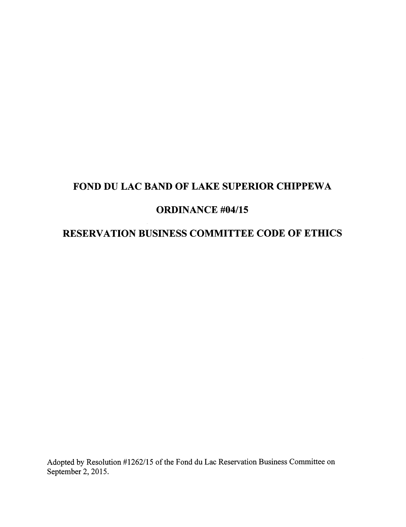# FOND DU LAC BAND OF LAKE SUPERIOR CHIPPEWA

# ORDINANCE #04/15

# RESERVATION BUSINESS COMMITTEE CODE OF ETHICS

Adopted by Resolution #1262/15 of the Fond du Lac Reservation Business Committee on September 2, 2015.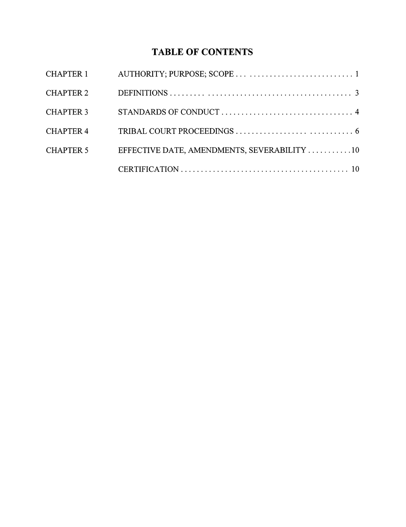# TABLE OF CONTENTS

| CHAPTER 1        |                                             |
|------------------|---------------------------------------------|
| <b>CHAPTER 2</b> |                                             |
| <b>CHAPTER 3</b> |                                             |
| <b>CHAPTER 4</b> |                                             |
| <b>CHAPTER 5</b> | EFFECTIVE DATE, AMENDMENTS, SEVERABILITY 10 |
|                  |                                             |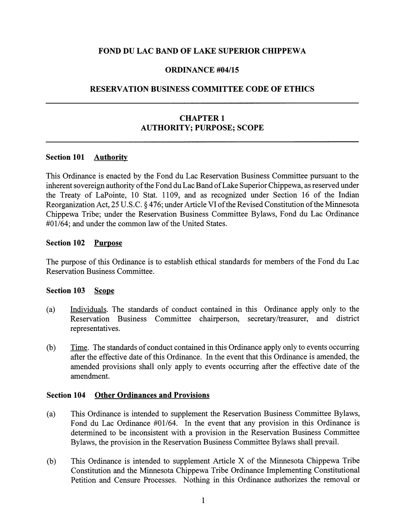### FOND DU LAC BAND OF LAKE SUPERIOR CHIPPEWA

#### ORDINANCE #04/15

#### RESERVATION BUSINESS COMMITTEE CODE OF ETHICS

## CHAPTER 1 AUTHORITY; PURPOSE; SCOPE

#### Section 101 Authority

This Ordinance is enacted by the Fond du Lac Reservation Business Committee pursuant to the inherent sovereign authority of the Fond du Lac Band of Lake Superior Chippewa, as reserved under the Treaty of LaPointe, 10 Stat. 1109, and as recognized under Section 16 of the Indian Reorganization Act, 25 U.S.C. § 476; under Article VI of the Revised Constitution of the Minnesota Chippewa Tribe; under the Reservation Business Committee Bylaws, Fond du Lac Ordinance #01/64; and under the common law of the United States.

#### Section 102 Purpose

The purpose of this Ordinance is to establish ethical standards for members of the Fond du Lac Reservation Business Committee.

#### Section 103 Scope

- (a) Individuals. The standards of conduct contained in this Ordinance apply only to the Reservation Business Committee chairperson, secretary/treasurer, and district representatives.
- (b) Time. The standards of conduct contained in this Ordinance apply only to events occurring after the effective date of this Ordinance. In the event that this Ordinance is amended, the amended provisions shall only apply to events occurring after the effective date of the amendment.

#### Section 104 Other Ordinances and Provisions

- (a) This Ordinance is intended to supplement the Reservation Business Committee Bylaws, Fond du Lac Ordinance #01/64. In the event that any provision in this Ordinance is determined to be inconsistent with a provision in the Reservation Business Committee Bylaws, the provision in the Reservation Business Committee Bylaws shall prevail.
- (b) This Ordinance is intended to supplement Article X of the Minnesota Chippewa Tribe Constitution and the Minnesota Chippewa Tribe Ordinance Implementing Constitutional Petition and Censure Processes. Nothing in this Ordinance authorizes the removal or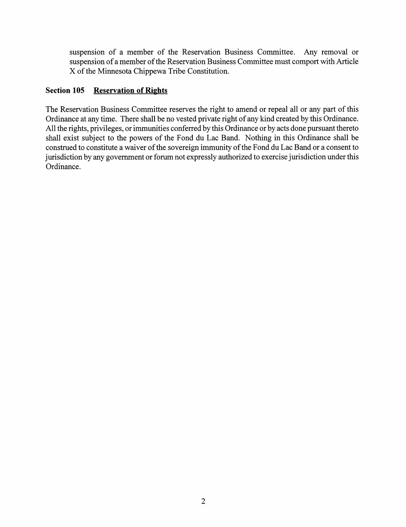suspension of a member of the Reservation Business Committee. Any removal or suspension of a member of the Reservation Business Committee must comport with Article X of the Minnesota Chippewa Tribe Constitution.

## Section 105 Reservation of Rights

The Reservation Business Committee reserves the right to amend or repeal all or any part of this Ordinance at any time. There shall be no vested private right of any kind created by this Ordinance. All the rights, privileges, or immunities conferred by this Ordinance or by acts done pursuant thereto shall exist subject to the powers of the Fond du Lac Band. Nothing in this Ordinance shall be construed to constitute a waiver of the sovereign immunity of the Fond du Lac Band or a consent to jurisdiction by any government or forum not expressly authorized to exercise jurisdiction under this Ordinance.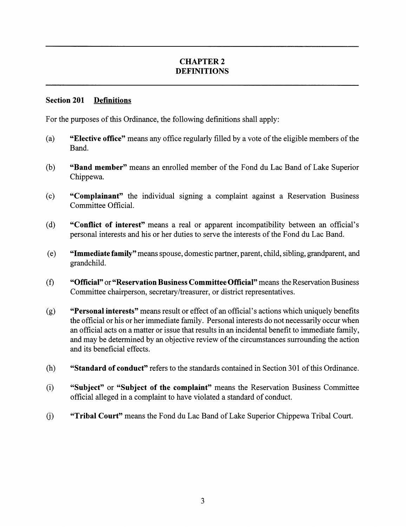# CHAPTER 2 DEFINITIONS

### Section 201 Definitions

For the purposes of this Ordinance, the following definitions shall apply:

- (a) "Elective office" means any office regularly filled by a vote of the eligible members of the Band.
- (b) "Band member" means an enrolled member of the Fond du Lac Band of Lake Superior Chippewa.
- (c) "Complainant" the individual signing a complaint against a Reservation Business Committee Official.
- (d) "Conflict of interest" means a real or apparent incompatibility between an official's personal interests and his or her duties to serve the interests of the Fond du Lac Band.
- (e) "Immediate family" means spouse, domestic partner, parent, child, sibling, grandparent, and grandchild.
- (f) "Official" or "Reservation Business Committee Official" means the Reservation Business Committee chairperson, secretary/treasurer, or district representatives.
- (g) "Personal interests" means result or effect of an official's actions which uniquely benefits the official or his or her immediate family. Personal interests do not necessarily occur when an official acts on a matter or issue that results in an incidental benefit to immediate family, and may be determined by an objective review of the circumstances surrounding the action and its beneficial effects.
- (h) "Standard of conduct" refers to the standards contained in Section 301 ofthis Ordinance.
- (i) "Subject" or "Subject of the complaint" means the Reservation Business Committee official alleged in a complaint to have violated a standard of conduct.
- (j) "Tribal Court" means the Fond du Lac Band of Lake Superior Chippewa Tribal Court.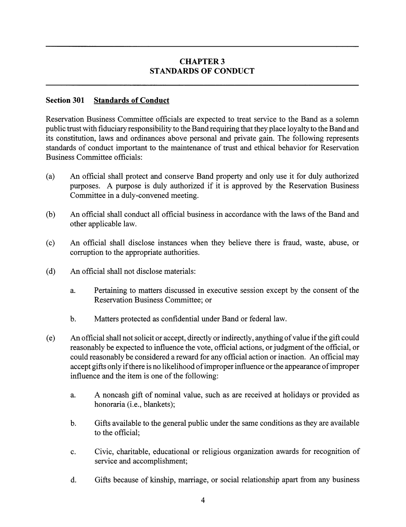# CHAPTER 3 STANDARDS OF CONDUCT

### Section 301 Standards of Conduct

Reservation Business Committee officials are expected to treat service to the Band as a solemn public trust with fiduciary responsibility to the Band requiring that they place loyalty to the Band and its constitution, laws and ordinances above personal and private gain. The following represents standards of conduct important to the maintenance of trust and ethical behavior for Reservation Business Committee officials:

- (a) An official shall protect and conserve Band property and only use it for duly authorized purposes. A purpose is duly authorized if it is approved by the Reservation Business Committee in a duly-convened meeting.
- (b) An official shall conduct all official business in accordance with the laws of the Band and other applicable law.
- (c) An official shall disclose instances when they believe there is fraud, waste, abuse, or corruption to the appropriate authorities.
- (d) An official shall not disclose materials:
	- a. Pertaining to matters discussed in executive session except by the consent of the Reservation Business Committee; or
	- b. Matters protected as confidential under Band or federal law.
- (e) An official shall not solicit or accept, directly or indirectly, anything ofvalue ifthe gift could reasonably be expected to influence the vote, official actions, or judgment of the official, or could reasonably be considered a reward for any official action or inaction. An official may accept gifts only ifthere is no likelihood ofimproper influence or the appearance ofimproper influence and the item is one of the following:
	- a. A noncash gift of nominal value, such as are received at holidays or provided as honoraria (i.e., blankets);
	- b. Gifts available to the general public under the same conditions as they are available to the official;
	- c. Civic, charitable, educational or religious organization awards for recognition of service and accomplishment;
	- d. Gifts because of kinship, marriage, or social relationship apart from any business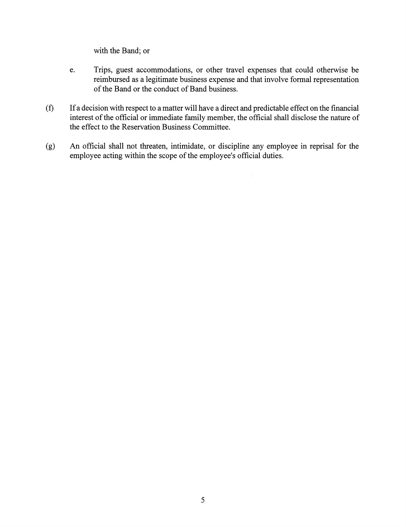with the Band; or

- e. Trips, guest accommodations, or other travel expenses that could otherwise be reimbursed as a legitimate business expense and that involve formal representation of the Band or the conduct of Band business.
- (f) Ifa decision with respect to a matter will have a direct and predictable effect on the financial interest of the official or immediate family member, the official shall disclose the nature of the effect to the Reservation Business Committee.
- (g) An official shall not threaten, intimidate, or discipline any employee in reprisal for the employee acting within the scope of the employee's official duties.

 $\hat{\mathcal{A}}$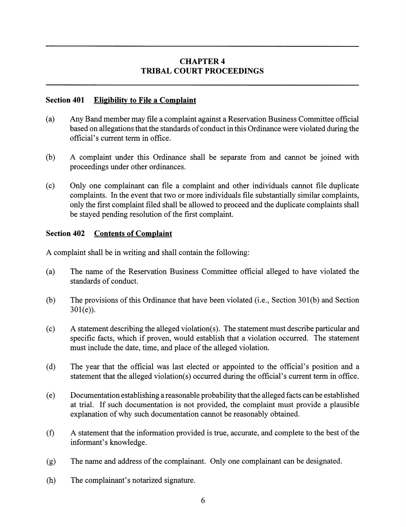# CHAPTER 4 TRIBAL COURT PROCEEDINGS

### Section 401 Eligibility to File a Complaint

- (a) Any Band member may file a complaint against a Reservation Business Committee official based on allegations that the standards of conduct in this Ordinance were violated during the official's current term in office.
- (b) A complaint under this Ordinance shall be separate from and cannot be joined with proceedings under other ordinances.
- (c) Only one complainant can file a complaint and other individuals cannot file duplicate complaints. In the event that two or more individuals file substantially similar complaints, only the first complaint filed shall be allowed to proceed and the duplicate complaints shall be stayed pending resolution of the first complaint.

### Section 402 Contents of Complaint

A complaint shall be in writing and shall contain the following:

- (a) The name of the Reservation Business Committee official alleged to have violated the standards of conduct.
- $(b)$  The provisions of this Ordinance that have been violated (i.e., Section 301(b) and Section  $301(e)$ ).
- (c) A statement describing the alleged violation(s). The statement must describe particular and specific facts, which if proven, would establish that a violation occurred. The statement must include the date, time, and place of the alleged violation.
- (d) The year that the official was last elected or appointed to the official's position and a statement that the alleged violation(s) occurred during the official's current term in office.
- (e) Documentation establishing a reasonable probability that the alleged facts can be established at trial. If such documentation is not provided, the complaint must provide a plausible explanation of why such documentation cannot be reasonably obtained.
- $(f)$  A statement that the information provided is true, accurate, and complete to the best of the informant's knowledge.
- (g) The name and address of the complainant. Only one complainant can be designated.
- (h) The complainant's notarized signature.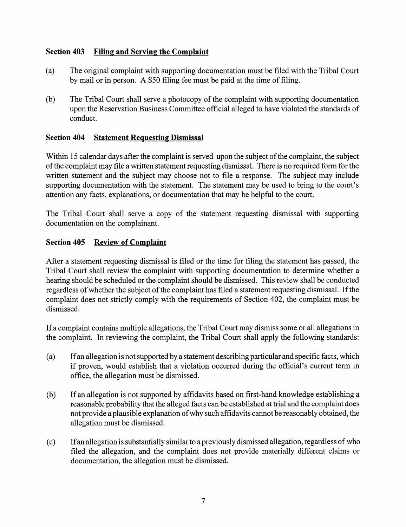# Section 403 Filing and Serving the Complaint

- (a) The original complaint with supporting documentation must be filed with the Tribal Court by mail or in person. A \$50 filing fee must be paid at the time of filing.
- (b) The Tribal Court shall serve a photocopy of the complaint with supporting documentation upon the Reservation Business Committee official alleged to have violated the standards of conduct.

## Section 404 Statement Requesting Dismissal

Within 15 calendar days after the complaint is served upon the subject of the complaint, the subject ofthe complaint may file a written statement requesting dismissal. There is no required form for the written statement and the subject may choose not to file a response. The subject may include supporting documentation with the statement. The statement may be used to bring to the court's attention any facts, explanations, or documentation that may be helpful to the court.

The Tribal Court shall serve a copy of the statement requesting dismissal with supporting documentation on the complainant.

## Section 405 Review of Complaint

After a statement requesting dismissal is filed or the time for filing the statement has passed, the Tribal Court shall review the complaint with supporting documentation to determine whether a hearing should be scheduled or the complaint should be dismissed. This review shall be conducted regardless of whether the subject of the complaint has filed a statement requesting dismissal. If the complaint does not strictly comply with the requirements of Section 402, the complaint must be dismissed.

Ifa complaint contains multiple allegations, the Tribal Court may dismiss some or all allegations in the complaint. In reviewing the complaint, the Tribal Court shall apply the following standards:

- (a) Ifan allegation is not supported by a statement describing particular and specific facts, which if proven, would establish that a violation occurred during the official's current term in office, the allegation must be dismissed.
- (b) If an allegation is not supported by affidavits based on first-hand knowledge establishing a reasonable probability that the alleged facts can be established at trial and the complaint does not provide a plausible explanation of why such affidavits cannot be reasonably obtained, the allegation must be dismissed.
- (c) Ifan allegation is substantiallysimilar to a previously dismissed allegation, regardlessofwho filed the allegation, and the complaint does not provide materially different claims or documentation, the allegation must be dismissed.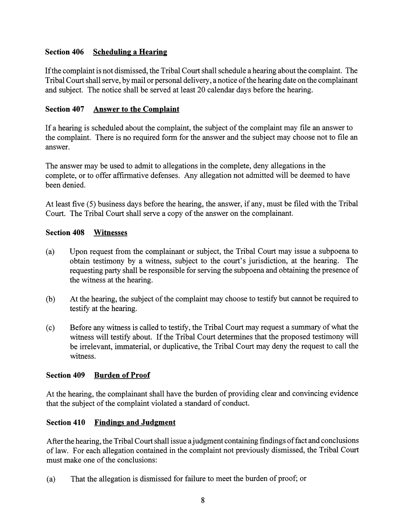# Section 406 Scheduling a Hearing

Ifthe complaint is not dismissed, the Tribal Court shall schedule a hearing about the complaint. The Tribal Court shall serve, by mail or personal delivery, a notice of the hearing date on the complainant and subject. The notice shall be served at least 20 calendar days before the hearing.

## Section 407 Answer to the Complaint

If a hearing is scheduled about the complaint, the subject of the complaint may file an answer to the complaint. There is no required form for the answer and the subject may choose not to file an answer.

The answer may be used to admit to allegations in the complete, deny allegations in the complete, or to offer affirmative defenses. Any allegation not admitted will be deemed to have been denied.

At least five (5) business days before the hearing, the answer, if any, must be filed with the Tribal Court. The Tribal Court shall serve a copy of the answer on the complainant.

## Section 408 Witnesses

- (a) Upon request from the complainant or subject, the Tribal Court may issue a subpoena to obtain testimony by a witness, subject to the court's jurisdiction, at the hearing. The requesting party shall be responsible for serving the subpoena and obtaining the presence of the witness at the hearing.
- (b) At the hearing, the subject of the complaint may choose to testify but cannot be required to testify at the hearing.
- (c) Before any witness is called to testify, the Tribal Court may request a summaryof what the witness will testify about. If the Tribal Court determines that the proposed testimony will be irrelevant, immaterial, or duplicative, the Tribal Court may deny the request to call the witness.

## Section 409 Burden of Proof

At the hearing, the complainant shall have the burden of providing clear and convincing evidence that the subject of the complaint violated a standard of conduct.

## Section 410 Findings and Judgment

After the hearing, the Tribal Court shall issue a judgment containing findings of fact and conclusions of law. For each allegation contained in the complaint not previously dismissed, the Tribal Court must make one of the conclusions:

(a) That the allegation is dismissed for failure to meet the burden of proof; or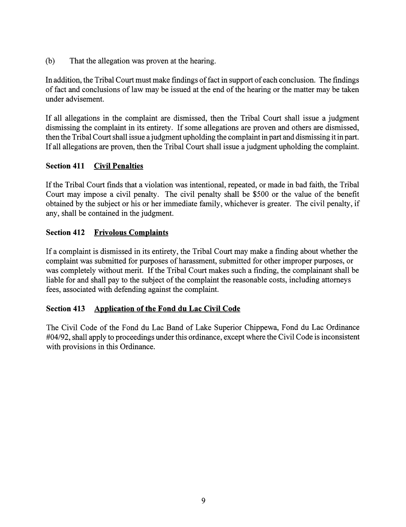(b) That the allegation was proven at the hearing.

In addition, the Tribal Court must make findings of fact in support of each conclusion. The findings of fact and conclusions of law may be issued at the end of the hearing or the matter may be taken under advisement.

If all allegations in the complaint are dismissed, then the Tribal Court shall issue a judgment dismissing the complaint in its entirety. If some allegations are proven and others are dismissed, then the Tribal Court shall issue a judgment upholding the complaint in part and dismissing it in part. Ifall allegations are proven, then the Tribal Court shall issue a judgment upholding the complaint.

# Section 411 Civil Penalties

If the Tribal Court finds that a violation was intentional, repeated, or made in bad faith, the Tribal Court may impose a civil penalty. The civil penalty shall be \$500 or the value of the benefit obtained by the subject or his or her immediate family, whichever is greater. The civil penalty, if any, shall be contained in the judgment.

# Section 412 Frivolous Complaints

If a complaint is dismissed in its entirety, the Tribal Court may make a finding about whether the complaint was submitted for purposes of harassment, submitted for other improper purposes, or was completely without merit. If the Tribal Court makes such a finding, the complainant shall be liable for and shall pay to the subject of the complaint the reasonable costs, including attorneys fees, associated with defending against the complaint.

## Section 413 Application of the Fond du Lac Civil Code

The Civil Code of the Fond du Lac Band of Lake Superior Chippewa, Fond du Lac Ordinance #04/92, shall apply to proceedings under this ordinance, except where the Civil Code is inconsistent with provisions in this Ordinance.